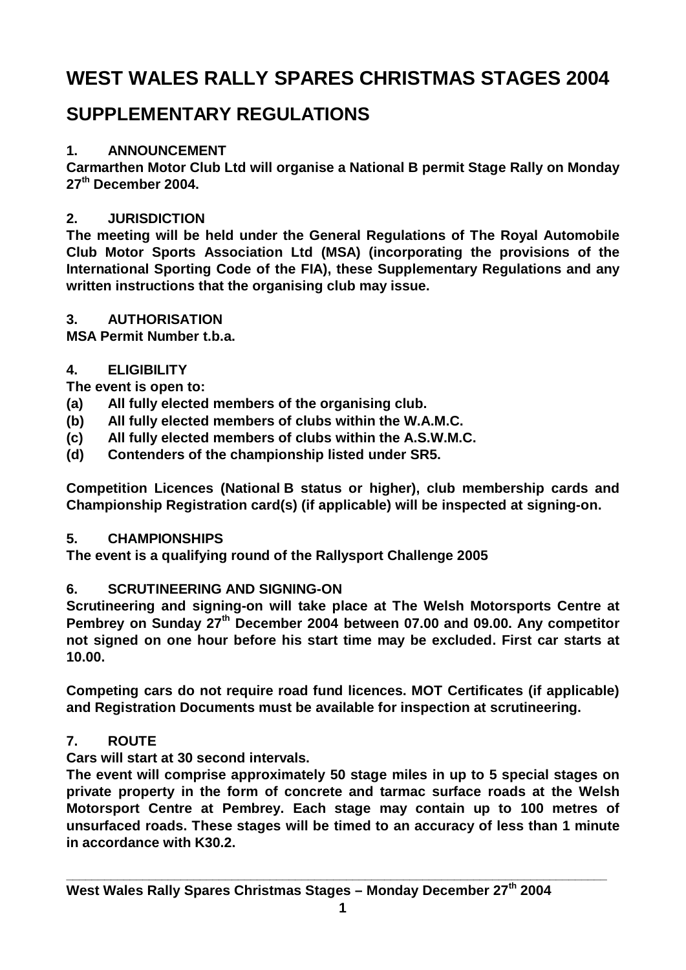# **WEST WALES RALLY SPARES CHRISTMAS STAGES 2004**

# **SUPPLEMENTARY REGULATIONS**

# **1. ANNOUNCEMENT**

**Carmarthen Motor Club Ltd will organise a National B permit Stage Rally on Monday 27th December 2004.**

# **2. JURISDICTION**

**The meeting will be held under the General Regulations of The Royal Automobile Club Motor Sports Association Ltd (MSA) (incorporating the provisions of the International Sporting Code of the FIA), these Supplementary Regulations and any written instructions that the organising club may issue.**

# **3. AUTHORISATION**

**MSA Permit Number t.b.a.**

# **4. ELIGIBILITY**

**The event is open to:**

- **(a) All fully elected members of the organising club.**
- **(b) All fully elected members of clubs within the W.A.M.C.**
- **(c) All fully elected members of clubs within the A.S.W.M.C.**
- **(d) Contenders of the championship listed under SR5.**

**Competition Licences (National B status or higher), club membership cards and Championship Registration card(s) (if applicable) will be inspected at signing-on.**

# **5. CHAMPIONSHIPS**

**The event is a qualifying round of the Rallysport Challenge 2005**

# **6. SCRUTINEERING AND SIGNING-ON**

**Scrutineering and signing-on will take place at The Welsh Motorsports Centre at Pembrey on Sunday 27th December 2004 between 07.00 and 09.00. Any competitor not signed on one hour before his start time may be excluded. First car starts at 10.00.**

**Competing cars do not require road fund licences. MOT Certificates (if applicable) and Registration Documents must be available for inspection at scrutineering.**

# **7. ROUTE**

**Cars will start at 30 second intervals.**

**The event will comprise approximately 50 stage miles in up to 5 special stages on private property in the form of concrete and tarmac surface roads at the Welsh Motorsport Centre at Pembrey. Each stage may contain up to 100 metres of unsurfaced roads. These stages will be timed to an accuracy of less than 1 minute in accordance with K30.2.**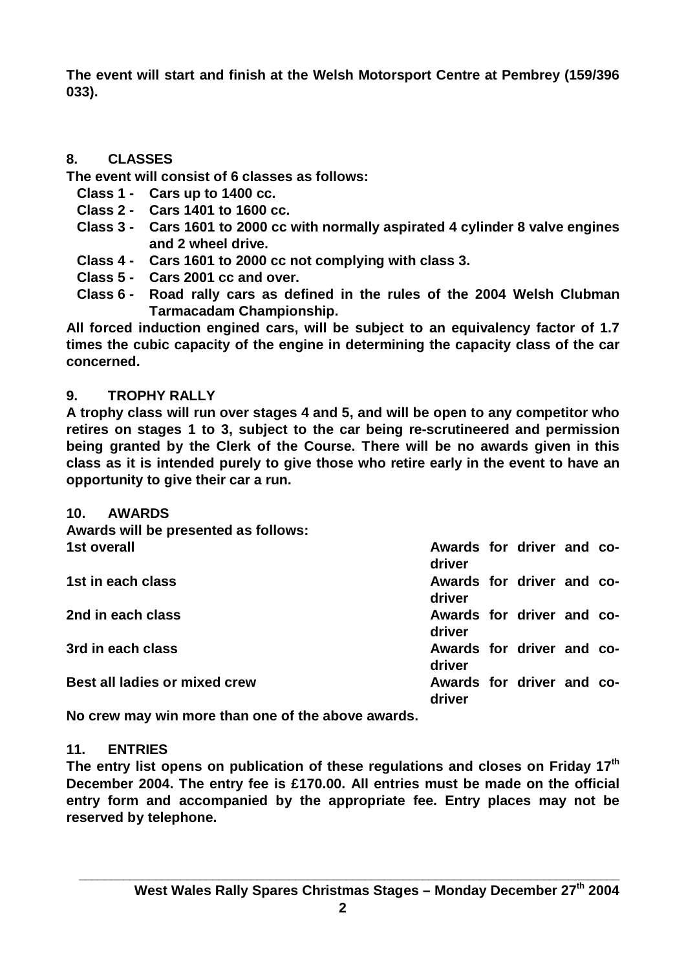**The event will start and finish at the Welsh Motorsport Centre at Pembrey (159/396 033).**

### **8. CLASSES**

**The event will consist of 6 classes as follows:**

- **Class 1 Cars up to 1400 cc.**
- **Class 2 Cars 1401 to 1600 cc.**
- **Class 3 Cars 1601 to 2000 cc with normally aspirated 4 cylinder 8 valve engines and 2 wheel drive.**
- **Class 4 Cars 1601 to 2000 cc not complying with class 3.**
- **Class 5 Cars 2001 cc and over.**
- **Class 6 Road rally cars as defined in the rules of the 2004 Welsh Clubman Tarmacadam Championship.**

**All forced induction engined cars, will be subject to an equivalency factor of 1.7 times the cubic capacity of the engine in determining the capacity class of the car concerned.**

### **9. TROPHY RALLY**

**A trophy class will run over stages 4 and 5, and will be open to any competitor who retires on stages 1 to 3, subject to the car being re-scrutineered and permission being granted by the Clerk of the Course. There will be no awards given in this class as it is intended purely to give those who retire early in the event to have an opportunity to give their car a run.**

| 10.<br><b>AWARDS</b>                 |                                     |  |  |
|--------------------------------------|-------------------------------------|--|--|
| Awards will be presented as follows: |                                     |  |  |
| 1st overall                          | Awards for driver and co-<br>driver |  |  |
| 1st in each class                    | Awards for driver and co-<br>driver |  |  |
| 2nd in each class                    | Awards for driver and co-<br>driver |  |  |
| 3rd in each class                    | Awards for driver and co-<br>driver |  |  |
| Best all ladies or mixed crew        | Awards for driver and co-<br>driver |  |  |

**No crew may win more than one of the above awards.**

### **11. ENTRIES**

**The entry list opens on publication of these regulations and closes on Friday 17th December 2004. The entry fee is £170.00. All entries must be made on the official entry form and accompanied by the appropriate fee. Entry places may not be reserved by telephone.**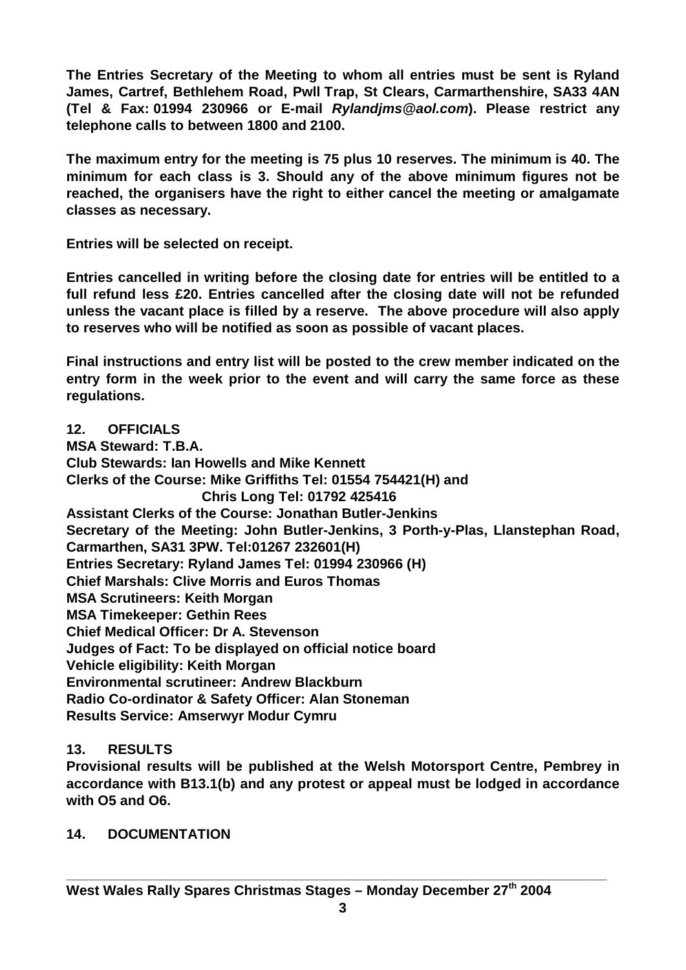**The Entries Secretary of the Meeting to whom all entries must be sent is Ryland James, Cartref, Bethlehem Road, Pwll Trap, St Clears, Carmarthenshire, SA33 4AN (Tel & Fax: 01994 230966 or E-mail** *[Rylandjms@aol.com](mailto:Rylandjms@aol.com)***). Please restrict any telephone calls to between 1800 and 2100.**

**The maximum entry for the meeting is 75 plus 10 reserves. The minimum is 40. The minimum for each class is 3. Should any of the above minimum figures not be reached, the organisers have the right to either cancel the meeting or amalgamate classes as necessary.**

**Entries will be selected on receipt.**

**Entries cancelled in writing before the closing date for entries will be entitled to a full refund less £20. Entries cancelled after the closing date will not be refunded unless the vacant place is filled by a reserve. The above procedure will also apply to reserves who will be notified as soon as possible of vacant places.**

**Final instructions and entry list will be posted to the crew member indicated on the entry form in the week prior to the event and will carry the same force as these regulations.**

**12. OFFICIALS**

**MSA Steward: T.B.A. Club Stewards: Ian Howells and Mike Kennett Clerks of the Course: Mike Griffiths Tel: 01554 754421(H) and Chris Long Tel: 01792 425416 Assistant Clerks of the Course: Jonathan Butler-Jenkins Secretary of the Meeting: John Butler-Jenkins, 3 Porth-y-Plas, Llanstephan Road, Carmarthen, SA31 3PW. Tel:01267 232601(H) Entries Secretary: Ryland James Tel: 01994 230966 (H) Chief Marshals: Clive Morris and Euros Thomas MSA Scrutineers: Keith Morgan MSA Timekeeper: Gethin Rees Chief Medical Officer: Dr A. Stevenson Judges of Fact: To be displayed on official notice board Vehicle eligibility: Keith Morgan Environmental scrutineer: Andrew Blackburn Radio Co-ordinator & Safety Officer: Alan Stoneman Results Service: Amserwyr Modur Cymru**

# **13. RESULTS**

**Provisional results will be published at the Welsh Motorsport Centre, Pembrey in accordance with B13.1(b) and any protest or appeal must be lodged in accordance with O5 and O6.**

### **14. DOCUMENTATION**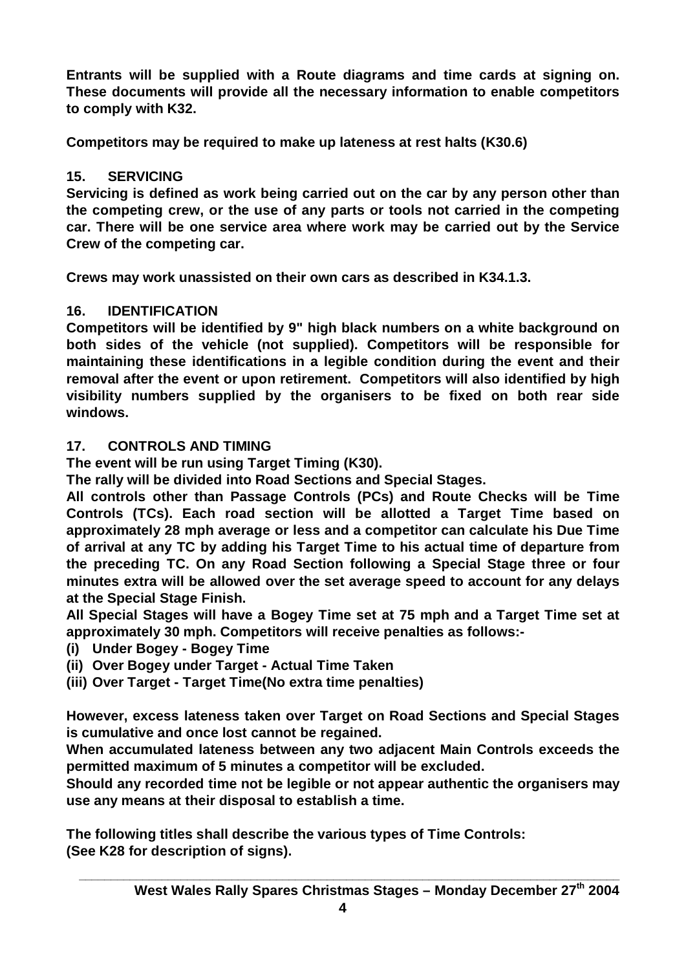**Entrants will be supplied with a Route diagrams and time cards at signing on. These documents will provide all the necessary information to enable competitors to comply with K32.**

**Competitors may be required to make up lateness at rest halts (K30.6)**

# **15. SERVICING**

**Servicing is defined as work being carried out on the car by any person other than the competing crew, or the use of any parts or tools not carried in the competing car. There will be one service area where work may be carried out by the Service Crew of the competing car.**

**Crews may work unassisted on their own cars as described in K34.1.3.**

# **16. IDENTIFICATION**

**Competitors will be identified by 9" high black numbers on a white background on both sides of the vehicle (not supplied). Competitors will be responsible for maintaining these identifications in a legible condition during the event and their removal after the event or upon retirement. Competitors will also identified by high visibility numbers supplied by the organisers to be fixed on both rear side windows.**

# **17. CONTROLS AND TIMING**

**The event will be run using Target Timing (K30).**

**The rally will be divided into Road Sections and Special Stages.**

**All controls other than Passage Controls (PCs) and Route Checks will be Time Controls (TCs). Each road section will be allotted a Target Time based on approximately 28 mph average or less and a competitor can calculate his Due Time of arrival at any TC by adding his Target Time to his actual time of departure from the preceding TC. On any Road Section following a Special Stage three or four minutes extra will be allowed over the set average speed to account for any delays at the Special Stage Finish.**

**All Special Stages will have a Bogey Time set at 75 mph and a Target Time set at approximately 30 mph. Competitors will receive penalties as follows:-**

- **(i) Under Bogey Bogey Time**
- **(ii) Over Bogey under Target Actual Time Taken**
- **(iii) Over Target Target Time(No extra time penalties)**

**However, excess lateness taken over Target on Road Sections and Special Stages is cumulative and once lost cannot be regained.**

**When accumulated lateness between any two adjacent Main Controls exceeds the permitted maximum of 5 minutes a competitor will be excluded.**

**Should any recorded time not be legible or not appear authentic the organisers may use any means at their disposal to establish a time.**

**The following titles shall describe the various types of Time Controls: (See K28 for description of signs).**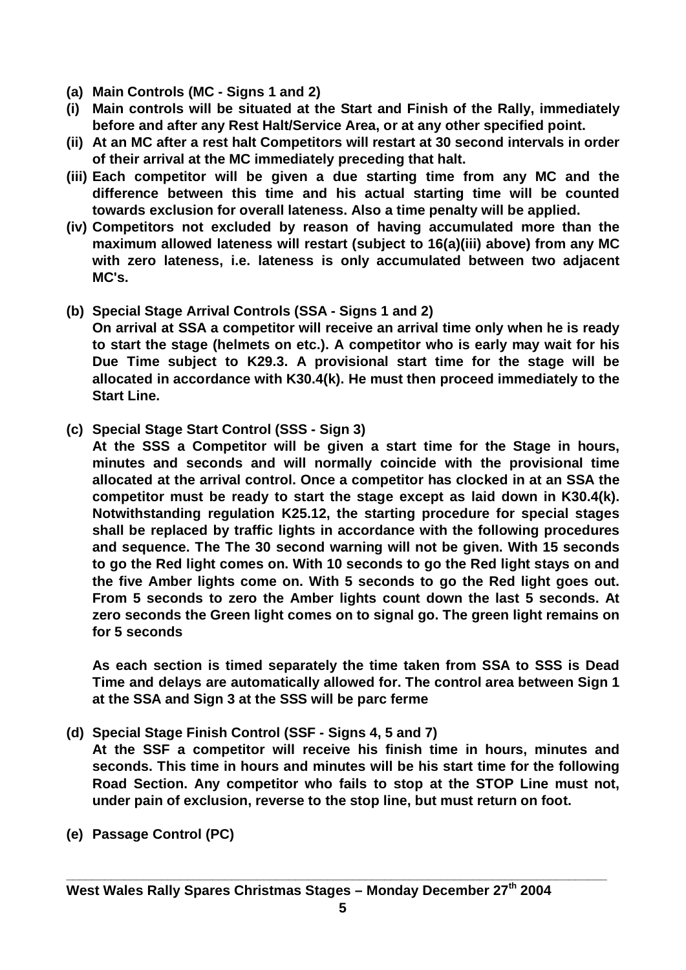- **(a) Main Controls (MC Signs 1 and 2)**
- **(i) Main controls will be situated at the Start and Finish of the Rally, immediately before and after any Rest Halt/Service Area, or at any other specified point.**
- **(ii) At an MC after a rest halt Competitors will restart at 30 second intervals in order of their arrival at the MC immediately preceding that halt.**
- **(iii) Each competitor will be given a due starting time from any MC and the difference between this time and his actual starting time will be counted towards exclusion for overall lateness. Also a time penalty will be applied.**
- **(iv) Competitors not excluded by reason of having accumulated more than the maximum allowed lateness will restart (subject to 16(a)(iii) above) from any MC with zero lateness, i.e. lateness is only accumulated between two adjacent MC's.**
- **(b) Special Stage Arrival Controls (SSA Signs 1 and 2)**

 **On arrival at SSA a competitor will receive an arrival time only when he is ready to start the stage (helmets on etc.). A competitor who is early may wait for his Due Time subject to K29.3. A provisional start time for the stage will be allocated in accordance with K30.4(k). He must then proceed immediately to the Start Line.**

**(c) Special Stage Start Control (SSS - Sign 3)**

**At the SSS a Competitor will be given a start time for the Stage in hours, minutes and seconds and will normally coincide with the provisional time allocated at the arrival control. Once a competitor has clocked in at an SSA the competitor must be ready to start the stage except as laid down in K30.4(k). Notwithstanding regulation K25.12, the starting procedure for special stages shall be replaced by traffic lights in accordance with the following procedures and sequence. The The 30 second warning will not be given. With 15 seconds to go the Red light comes on. With 10 seconds to go the Red light stays on and the five Amber lights come on. With 5 seconds to go the Red light goes out. From 5 seconds to zero the Amber lights count down the last 5 seconds. At zero seconds the Green light comes on to signal go. The green light remains on for 5 seconds**

 **As each section is timed separately the time taken from SSA to SSS is Dead Time and delays are automatically allowed for. The control area between Sign 1 at the SSA and Sign 3 at the SSS will be parc ferme**

**(d) Special Stage Finish Control (SSF - Signs 4, 5 and 7)**

 **At the SSF a competitor will receive his finish time in hours, minutes and seconds. This time in hours and minutes will be his start time for the following Road Section. Any competitor who fails to stop at the STOP Line must not, under pain of exclusion, reverse to the stop line, but must return on foot.**

**(e) Passage Control (PC)**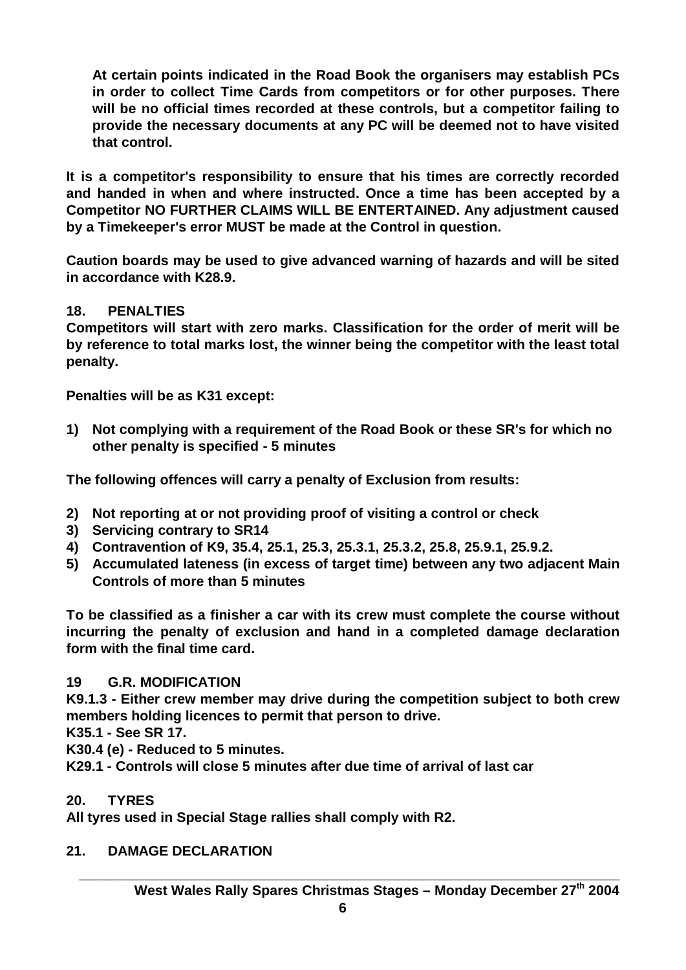**At certain points indicated in the Road Book the organisers may establish PCs in order to collect Time Cards from competitors or for other purposes. There will be no official times recorded at these controls, but a competitor failing to provide the necessary documents at any PC will be deemed not to have visited that control.**

**It is a competitor's responsibility to ensure that his times are correctly recorded and handed in when and where instructed. Once a time has been accepted by a Competitor NO FURTHER CLAIMS WILL BE ENTERTAINED. Any adjustment caused by a Timekeeper's error MUST be made at the Control in question.**

**Caution boards may be used to give advanced warning of hazards and will be sited in accordance with K28.9.**

### **18. PENALTIES**

**Competitors will start with zero marks. Classification for the order of merit will be by reference to total marks lost, the winner being the competitor with the least total penalty.**

**Penalties will be as K31 except:**

**1) Not complying with a requirement of the Road Book or these SR's for which no other penalty is specified - 5 minutes**

**The following offences will carry a penalty of Exclusion from results:**

- **2) Not reporting at or not providing proof of visiting a control or check**
- **3) Servicing contrary to SR14**
- **4) Contravention of K9, 35.4, 25.1, 25.3, 25.3.1, 25.3.2, 25.8, 25.9.1, 25.9.2.**
- **5) Accumulated lateness (in excess of target time) between any two adjacent Main Controls of more than 5 minutes**

**To be classified as a finisher a car with its crew must complete the course without incurring the penalty of exclusion and hand in a completed damage declaration form with the final time card.**

#### **19 G.R. MODIFICATION**

**K9.1.3 - Either crew member may drive during the competition subject to both crew members holding licences to permit that person to drive.**

**K35.1 - See SR 17.**

**K30.4 (e) - Reduced to 5 minutes.**

**K29.1 - Controls will close 5 minutes after due time of arrival of last car**

#### **20. TYRES**

**All tyres used in Special Stage rallies shall comply with R2.**

### **21. DAMAGE DECLARATION**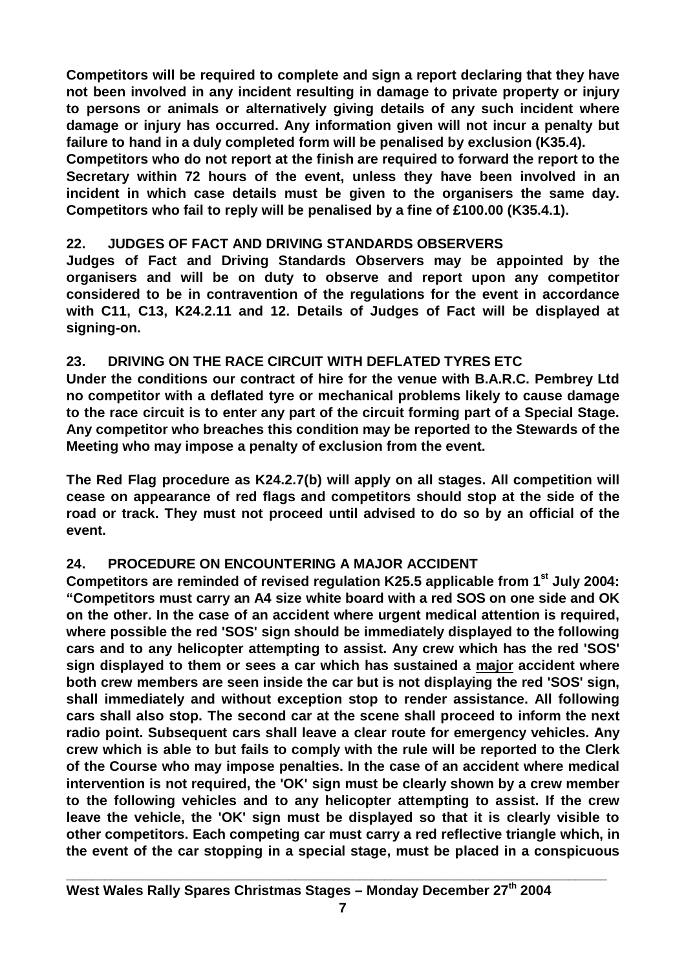**Competitors will be required to complete and sign a report declaring that they have not been involved in any incident resulting in damage to private property or injury to persons or animals or alternatively giving details of any such incident where damage or injury has occurred. Any information given will not incur a penalty but failure to hand in a duly completed form will be penalised by exclusion (K35.4).**

**Competitors who do not report at the finish are required to forward the report to the Secretary within 72 hours of the event, unless they have been involved in an incident in which case details must be given to the organisers the same day. Competitors who fail to reply will be penalised by a fine of £100.00 (K35.4.1).**

### **22. JUDGES OF FACT AND DRIVING STANDARDS OBSERVERS**

**Judges of Fact and Driving Standards Observers may be appointed by the organisers and will be on duty to observe and report upon any competitor considered to be in contravention of the regulations for the event in accordance with C11, C13, K24.2.11 and 12. Details of Judges of Fact will be displayed at signing-on.**

### **23. DRIVING ON THE RACE CIRCUIT WITH DEFLATED TYRES ETC**

**Under the conditions our contract of hire for the venue with B.A.R.C. Pembrey Ltd no competitor with a deflated tyre or mechanical problems likely to cause damage to the race circuit is to enter any part of the circuit forming part of a Special Stage. Any competitor who breaches this condition may be reported to the Stewards of the Meeting who may impose a penalty of exclusion from the event.**

**The Red Flag procedure as K24.2.7(b) will apply on all stages. All competition will cease on appearance of red flags and competitors should stop at the side of the road or track. They must not proceed until advised to do so by an official of the event.**

# **24. PROCEDURE ON ENCOUNTERING A MAJOR ACCIDENT**

**Competitors are reminded of revised regulation K25.5 applicable from 1st July 2004: "Competitors must carry an A4 size white board with a red SOS on one side and OK on the other. In the case of an accident where urgent medical attention is required, where possible the red 'SOS' sign should be immediately displayed to the following cars and to any helicopter attempting to assist. Any crew which has the red 'SOS' sign displayed to them or sees a car which has sustained a major accident where both crew members are seen inside the car but is not displaying the red 'SOS' sign, shall immediately and without exception stop to render assistance. All following cars shall also stop. The second car at the scene shall proceed to inform the next radio point. Subsequent cars shall leave a clear route for emergency vehicles. Any crew which is able to but fails to comply with the rule will be reported to the Clerk of the Course who may impose penalties. In the case of an accident where medical intervention is not required, the 'OK' sign must be clearly shown by a crew member to the following vehicles and to any helicopter attempting to assist. If the crew leave the vehicle, the 'OK' sign must be displayed so that it is clearly visible to other competitors. Each competing car must carry a red reflective triangle which, in the event of the car stopping in a special stage, must be placed in a conspicuous**